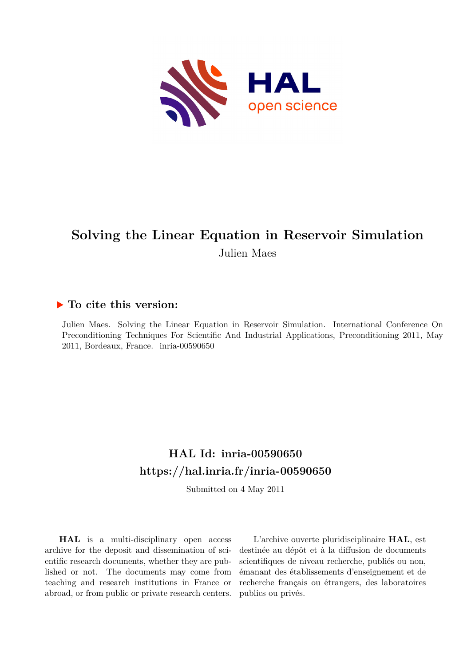

## **Solving the Linear Equation in Reservoir Simulation** Julien Maes

## **To cite this version:**

Julien Maes. Solving the Linear Equation in Reservoir Simulation. International Conference On Preconditioning Techniques For Scientific And Industrial Applications, Preconditioning 2011, May  $2011$ , Bordeaux, France. inria-00590650

## **HAL Id: inria-00590650 <https://hal.inria.fr/inria-00590650>**

Submitted on 4 May 2011

**HAL** is a multi-disciplinary open access archive for the deposit and dissemination of scientific research documents, whether they are published or not. The documents may come from teaching and research institutions in France or abroad, or from public or private research centers.

L'archive ouverte pluridisciplinaire **HAL**, est destinée au dépôt et à la diffusion de documents scientifiques de niveau recherche, publiés ou non, émanant des établissements d'enseignement et de recherche français ou étrangers, des laboratoires publics ou privés.